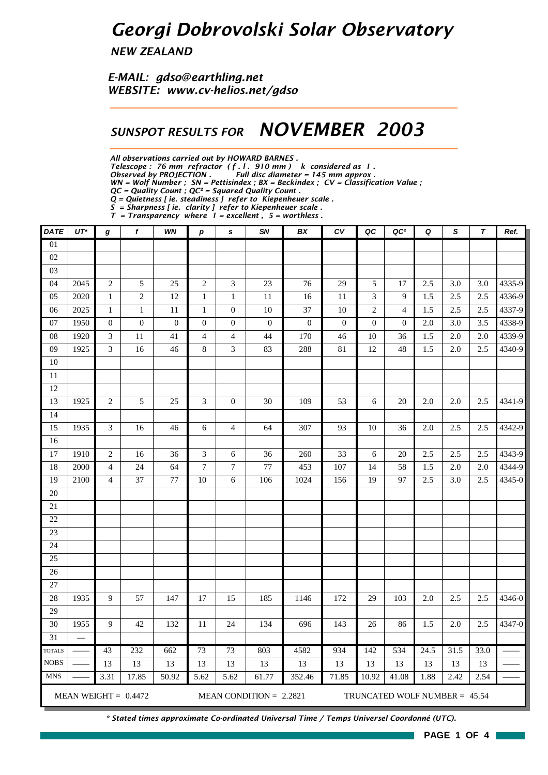## *Georgi Dobrovolski Solar Observatory*

*NEW ZEALAND*

*E-MAIL: gdso@earthling.net WEBSITE: www.cv-helios.net/gdso*

### *SUNSPOT RESULTS FOR NOVEMBER 2003*

*All observations carried out by HOWARD BARNES .*

*Telescope : 76 mm refractor ( f . l . 910 mm ) k considered as 1 .*

*Observed by PROJECTION . Full disc diameter = 145 mm approx .*

*WN = Wolf Number ; SN = Pettisindex ; BX = Beckindex ; CV = Classification Value ; QC = Quality Count ; QC² = Squared Quality Count .*

*Q = Quietness [ ie. steadiness ] refer to Kiepenheuer scale .*

*S = Sharpness [ ie. clarity ] refer to Kiepenheuer scale .*

*T = Transparency where 1 = excellent , 5 = worthless .*

| <b>DATE</b>     | $UT^*$ | g                       | f                      | WN               | $\boldsymbol{p}$ | s                        | SN                        | BX               | CV               | QC               | QC <sup>2</sup>               | Q    | S    | $\boldsymbol{\tau}$ | Ref.   |
|-----------------|--------|-------------------------|------------------------|------------------|------------------|--------------------------|---------------------------|------------------|------------------|------------------|-------------------------------|------|------|---------------------|--------|
| 01              |        |                         |                        |                  |                  |                          |                           |                  |                  |                  |                               |      |      |                     |        |
| 02              |        |                         |                        |                  |                  |                          |                           |                  |                  |                  |                               |      |      |                     |        |
| 03              |        |                         |                        |                  |                  |                          |                           |                  |                  |                  |                               |      |      |                     |        |
| 04              | 2045   | $\sqrt{2}$              | 5                      | 25               | $\mathfrak{2}$   | 3                        | 23                        | 76               | 29               | 5                | 17                            | 2.5  | 3.0  | 3.0                 | 4335-9 |
| 05              | 2020   | $\mathbf{1}$            | $\mathfrak{2}$         | 12               | $\mathbf{1}$     | $\mathbf{1}$             | 11                        | 16               | 11               | 3                | 9                             | 1.5  | 2.5  | 2.5                 | 4336-9 |
| 06              | 2025   | $\mathbf 1$             | $\,1\,$                | $11\,$           | $\mathbf 1$      | $\boldsymbol{0}$         | $\overline{10}$           | 37               | $10\,$           | $\sqrt{2}$       | $\overline{4}$                | 1.5  | 2.5  | 2.5                 | 4337-9 |
| 07              | 1950   | $\boldsymbol{0}$        | $\boldsymbol{0}$       | $\boldsymbol{0}$ | $\boldsymbol{0}$ | $\boldsymbol{0}$         | $\boldsymbol{0}$          | $\boldsymbol{0}$ | $\boldsymbol{0}$ | $\boldsymbol{0}$ | $\boldsymbol{0}$              | 2.0  | 3.0  | 3.5                 | 4338-9 |
| 08              | 1920   | $\mathfrak{Z}$          | 11                     | 41               | $\overline{4}$   | $\overline{\mathcal{L}}$ | 44                        | 170              | 46               | 10               | 36                            | 1.5  | 2.0  | 2.0                 | 4339-9 |
| 09              | 1925   | 3                       | 16                     | 46               | $\,8$            | $\overline{3}$           | 83                        | 288              | 81               | 12               | 48                            | 1.5  | 2.0  | 2.5                 | 4340-9 |
| $10\,$          |        |                         |                        |                  |                  |                          |                           |                  |                  |                  |                               |      |      |                     |        |
| $11\,$          |        |                         |                        |                  |                  |                          |                           |                  |                  |                  |                               |      |      |                     |        |
| 12              |        | $\overline{c}$          | 5                      | 25               | 3                |                          |                           |                  |                  |                  |                               |      | 2.0  |                     | 4341-9 |
| 13<br>14        | 1925   |                         |                        |                  |                  | $\boldsymbol{0}$         | 30                        | 109              | 53               | 6                | 20                            | 2.0  |      | 2.5                 |        |
| 15              | 1935   | $\mathfrak{Z}$          | 16                     | 46               | 6                | $\overline{\mathcal{L}}$ | 64                        | 307              | 93               | 10               | 36                            | 2.0  | 2.5  | 2.5                 | 4342-9 |
| 16              |        |                         |                        |                  |                  |                          |                           |                  |                  |                  |                               |      |      |                     |        |
| 17              | 1910   | $\overline{c}$          | 16                     | 36               | 3                | 6                        | 36                        | 260              | 33               | 6                | 20                            | 2.5  | 2.5  | 2.5                 | 4343-9 |
| 18              | 2000   | $\overline{\mathbf{4}}$ | 24                     | 64               | $\tau$           | $\boldsymbol{7}$         | $77\,$                    | 453              | 107              | 14               | 58                            | 1.5  | 2.0  | 2.0                 | 4344-9 |
| 19              | 2100   | $\overline{4}$          | 37                     | 77               | $10\,$           | 6                        | 106                       | 1024             | 156              | 19               | 97                            | 2.5  | 3.0  | 2.5                 | 4345-0 |
| $20\,$          |        |                         |                        |                  |                  |                          |                           |                  |                  |                  |                               |      |      |                     |        |
| 21              |        |                         |                        |                  |                  |                          |                           |                  |                  |                  |                               |      |      |                     |        |
| 22              |        |                         |                        |                  |                  |                          |                           |                  |                  |                  |                               |      |      |                     |        |
| 23              |        |                         |                        |                  |                  |                          |                           |                  |                  |                  |                               |      |      |                     |        |
| 24              |        |                         |                        |                  |                  |                          |                           |                  |                  |                  |                               |      |      |                     |        |
| 25              |        |                         |                        |                  |                  |                          |                           |                  |                  |                  |                               |      |      |                     |        |
| 26              |        |                         |                        |                  |                  |                          |                           |                  |                  |                  |                               |      |      |                     |        |
| $27\,$          |        |                         |                        |                  |                  |                          |                           |                  |                  |                  |                               |      |      |                     |        |
| 28              | 1935   | $\overline{9}$          | 57                     | 147              | 17               | 15                       | 185                       | 1146             | 172              | 29               | 103                           | 2.0  | 2.5  | 2.5                 | 4346-0 |
| 29              |        |                         |                        |                  |                  |                          |                           |                  |                  |                  |                               |      |      |                     |        |
| 30              | 1955   | 9                       | 42                     | 132              | 11               | 24                       | 134                       | 696              | 143              | 26               | 86                            | 1.5  | 2.0  | 2.5                 | 4347-0 |
| $\overline{31}$ |        |                         |                        |                  |                  |                          |                           |                  |                  |                  |                               |      |      |                     |        |
| <b>TOTALS</b>   |        | 43                      | 232                    | 662              | 73               | $\overline{73}$          | 803                       | 4582             | 934              | 142              | 534                           | 24.5 | 31.5 | 33.0                |        |
| <b>NOBS</b>     |        | 13                      | 13                     | 13               | 13               | 13                       | 13                        | 13               | 13               | 13               | 13                            | 13   | 13   | 13                  |        |
| <b>MNS</b>      |        | 3.31                    | 17.85                  | 50.92            | 5.62             | $\overline{5.62}$        | 61.77                     | 352.46           | 71.85            | 10.92            | 41.08                         | 1.88 | 2.42 | 2.54                |        |
|                 |        |                         | MEAN WEIGHT = $0.4472$ |                  |                  |                          | MEAN CONDITION = $2.2821$ |                  |                  |                  | TRUNCATED WOLF NUMBER = 45.54 |      |      |                     |        |

*\* Stated times approximate Co-ordinated Universal Time / Temps Universel Coordonné (UTC).*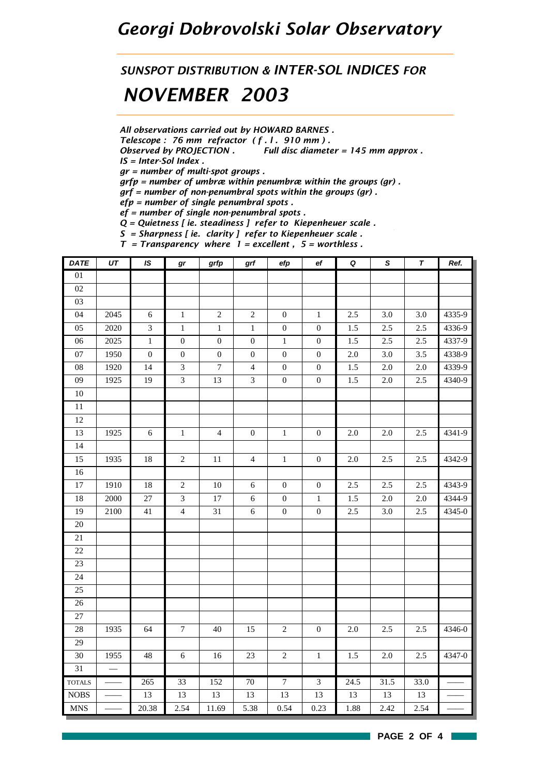## *Georgi Dobrovolski Solar Observatory*

## *SUNSPOT DISTRIBUTION & INTER-SOL INDICES FOR NOVEMBER 2003*

*All observations carried out by HOWARD BARNES .*

*Telescope : 76 mm refractor ( f . l . 910 mm ) .*

*Observed by PROJECTION . Full disc diameter = 145 mm approx .*

*IS = Inter-Sol Index .*

*gr = number of multi-spot groups .*

*grfp = number of umbræ within penumbræ within the groups (gr) .*

*grf = number of non-penumbral spots within the groups (gr) .*

*efp = number of single penumbral spots .*

*ef = number of single non-penumbral spots .*

*Q = Quietness [ ie. steadiness ] refer to Kiepenheuer scale .*

*S = Sharpness [ ie. clarity ] refer to Kiepenheuer scale . T = Transparency where 1 = excellent , 5 = worthless .*

| <b>DATE</b>     | $\overline{UT}$          | $\overline{1S}$  | $\bm{gr}$        | grfp             | grf              | efp              | ef               | $\pmb Q$ | $\overline{s}$ | $\overline{\tau}$ | Ref.   |
|-----------------|--------------------------|------------------|------------------|------------------|------------------|------------------|------------------|----------|----------------|-------------------|--------|
| $\overline{01}$ |                          |                  |                  |                  |                  |                  |                  |          |                |                   |        |
| 02              |                          |                  |                  |                  |                  |                  |                  |          |                |                   |        |
| 03              |                          |                  |                  |                  |                  |                  |                  |          |                |                   |        |
| 04              | 2045                     | 6                | $\mathbf{1}$     | $\sqrt{2}$       | $\sqrt{2}$       | $\mathbf{0}$     | $\mathbf{1}$     | 2.5      | 3.0            | 3.0               | 4335-9 |
| 05              | 2020                     | $\mathfrak 3$    | $\mathbf{1}$     | $\,1$            | $\mathbf{1}$     | $\boldsymbol{0}$ | $\mathbf{0}$     | 1.5      | 2.5            | $2.5\,$           | 4336-9 |
| 06              | 2025                     | $\,1$            | $\boldsymbol{0}$ | $\boldsymbol{0}$ | $\boldsymbol{0}$ | $\,1\,$          | $\boldsymbol{0}$ | $1.5\,$  | $2.5\,$        | $2.5\,$           | 4337-9 |
| 07              | 1950                     | $\boldsymbol{0}$ | $\boldsymbol{0}$ | $\boldsymbol{0}$ | $\boldsymbol{0}$ | $\boldsymbol{0}$ | $\boldsymbol{0}$ | $2.0\,$  | $3.0\,$        | $3.5\,$           | 4338-9 |
| ${\bf 08}$      | 1920                     | 14               | $\mathfrak{Z}$   | $\boldsymbol{7}$ | $\overline{4}$   | $\boldsymbol{0}$ | $\boldsymbol{0}$ | $1.5\,$  | $2.0\,$        | 2.0               | 4339-9 |
| 09              | 1925                     | 19               | $\mathfrak{Z}$   | 13               | $\mathfrak{Z}$   | $\boldsymbol{0}$ | $\boldsymbol{0}$ | $1.5\,$  | $2.0\,$        | $2.5\,$           | 4340-9 |
| $10\,$          |                          |                  |                  |                  |                  |                  |                  |          |                |                   |        |
| 11              |                          |                  |                  |                  |                  |                  |                  |          |                |                   |        |
| 12              |                          |                  |                  |                  |                  |                  |                  |          |                |                   |        |
| 13              | 1925                     | $\sqrt{6}$       | $\,1\,$          | $\overline{4}$   | $\boldsymbol{0}$ | $\,1$            | $\boldsymbol{0}$ | 2.0      | $2.0\,$        | 2.5               | 4341-9 |
| 14              |                          |                  |                  |                  |                  |                  |                  |          |                |                   |        |
| 15              | 1935                     | 18               | $\sqrt{2}$       | $11\,$           | $\overline{4}$   | $\mathbf{1}$     | $\boldsymbol{0}$ | $2.0\,$  | 2.5            | $2.5\,$           | 4342-9 |
| 16              |                          |                  |                  |                  |                  |                  |                  |          |                |                   |        |
| 17              | 1910                     | 18               | $\sqrt{2}$       | $10\,$           | $\sqrt{6}$       | $\boldsymbol{0}$ | $\boldsymbol{0}$ | 2.5      | 2.5            | 2.5               | 4343-9 |
| 18              | 2000                     | $27\,$           | $\mathfrak{Z}$   | $17\,$           | 6                | $\boldsymbol{0}$ | $\mathbf{1}$     | 1.5      | $2.0\,$        | $2.0\,$           | 4344-9 |
| 19              | 2100                     | 41               | $\overline{4}$   | 31               | $\sqrt{6}$       | $\boldsymbol{0}$ | $\boldsymbol{0}$ | 2.5      | 3.0            | 2.5               | 4345-0 |
| $20\,$          |                          |                  |                  |                  |                  |                  |                  |          |                |                   |        |
| 21              |                          |                  |                  |                  |                  |                  |                  |          |                |                   |        |
| 22              |                          |                  |                  |                  |                  |                  |                  |          |                |                   |        |
| 23              |                          |                  |                  |                  |                  |                  |                  |          |                |                   |        |
| 24              |                          |                  |                  |                  |                  |                  |                  |          |                |                   |        |
| 25              |                          |                  |                  |                  |                  |                  |                  |          |                |                   |        |
| $26\,$          |                          |                  |                  |                  |                  |                  |                  |          |                |                   |        |
| $27\,$          |                          |                  |                  |                  |                  |                  |                  |          |                |                   |        |
| 28              | 1935                     | 64               | $\boldsymbol{7}$ | 40               | 15               | $\sqrt{2}$       | $\boldsymbol{0}$ | $2.0\,$  | 2.5            | 2.5               | 4346-0 |
| $\overline{29}$ |                          |                  |                  |                  |                  |                  |                  |          |                |                   |        |
| 30              | 1955                     | 48               | $\sqrt{6}$       | 16               | 23               | $\sqrt{2}$       | $\mathbf{1}$     | 1.5      | $2.0\,$        | 2.5               | 4347-0 |
| 31              | $\overline{\phantom{0}}$ |                  |                  |                  |                  |                  |                  |          |                |                   |        |
| <b>TOTALS</b>   | $\overline{\phantom{a}}$ | 265              | $\overline{33}$  | 152              | 70               | $\overline{7}$   | $\overline{3}$   | 24.5     | 31.5           | 33.0              |        |
| <b>NOBS</b>     |                          | 13               | 13               | 13               | 13               | 13               | 13               | 13       | 13             | 13                |        |
| <b>MNS</b>      |                          | 20.38            | 2.54             | 11.69            | 5.38             | 0.54             | 0.23             | 1.88     | 2.42           | 2.54              |        |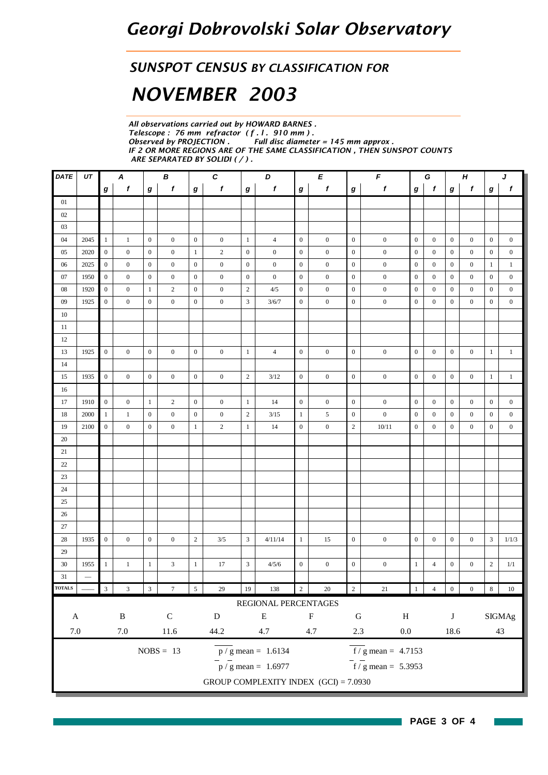#### *SUNSPOT CENSUS BY CLASSIFICATION FOR*

# *NOVEMBER 2003*

*All observations carried out by HOWARD BARNES . Telescope : 76 mm refractor ( f . l . 910 mm ) .* **Full disc diameter = 145 mm approx.** *IF 2 OR MORE REGIONS ARE OF THE SAME CLASSIFICATION , THEN SUNSPOT COUNTS ARE SEPARATED BY SOLIDI ( / ) .*

| DATE                       | UT                       |                         | $\pmb B$<br>A    |                  | $\boldsymbol{c}$ | D<br>E           |                  |                  | $\pmb{\digamma}$                        |                  |                  | G                |                                  | Н<br>J           |                  |                                                       |                  |                  |                  |
|----------------------------|--------------------------|-------------------------|------------------|------------------|------------------|------------------|------------------|------------------|-----------------------------------------|------------------|------------------|------------------|----------------------------------|------------------|------------------|-------------------------------------------------------|------------------|------------------|------------------|
|                            |                          | $\boldsymbol{g}$        | f                | g                | f                | $\boldsymbol{g}$ | $\boldsymbol{f}$ | $\bm{g}$         | f                                       | $\boldsymbol{g}$ | f                | $\boldsymbol{g}$ | f                                | g                | f                | $\boldsymbol{g}$                                      | f                | $\boldsymbol{g}$ | f                |
| 01                         |                          |                         |                  |                  |                  |                  |                  |                  |                                         |                  |                  |                  |                                  |                  |                  |                                                       |                  |                  |                  |
| 02                         |                          |                         |                  |                  |                  |                  |                  |                  |                                         |                  |                  |                  |                                  |                  |                  |                                                       |                  |                  |                  |
| 03                         |                          |                         |                  |                  |                  |                  |                  |                  |                                         |                  |                  |                  |                                  |                  |                  |                                                       |                  |                  |                  |
| 04                         | 2045                     | $\mathbf{1}$            | 1                | $\mathbf{0}$     | $\mathbf{0}$     | $\mathbf{0}$     | $\boldsymbol{0}$ | $\mathbf{1}$     | $\overline{4}$                          | $\mathbf{0}$     | $\boldsymbol{0}$ | $\mathbf{0}$     | $\boldsymbol{0}$                 | $\mathbf{0}$     | $\mathbf{0}$     | $\boldsymbol{0}$                                      | $\boldsymbol{0}$ | $\boldsymbol{0}$ | $\boldsymbol{0}$ |
| 05                         | 2020                     | $\mathbf{0}$            | $\mathbf{0}$     | $\mathbf{0}$     | $\mathbf{0}$     | $\mathbf{1}$     | $\overline{c}$   | $\boldsymbol{0}$ | $\boldsymbol{0}$                        | $\mathbf{0}$     | $\bf{0}$         | $\boldsymbol{0}$ | $\boldsymbol{0}$                 | $\mathbf{0}$     | $\mathbf{0}$     | $\boldsymbol{0}$                                      | $\mathbf{0}$     | $\boldsymbol{0}$ | $\boldsymbol{0}$ |
| 06                         | 2025                     | $\mathbf{0}$            | $\boldsymbol{0}$ | $\mathbf{0}$     | $\mathbf{0}$     | $\mathbf{0}$     | $\mathbf{0}$     | $\mathbf{0}$     | $\boldsymbol{0}$                        | $\boldsymbol{0}$ | $\mathbf{0}$     | $\mathbf{0}$     | $\boldsymbol{0}$                 | $\mathbf{0}$     | $\mathbf{0}$     | $\boldsymbol{0}$                                      | $\boldsymbol{0}$ | 1                | $\mathbf{1}$     |
| 07                         | 1950                     | $\mathbf{0}$            | $\boldsymbol{0}$ | $\mathbf{0}$     | $\mathbf{0}$     | $\mathbf{0}$     | $\boldsymbol{0}$ | $\mathbf{0}$     | $\boldsymbol{0}$                        | $\mathbf{0}$     | $\boldsymbol{0}$ | $\mathbf{0}$     | $\boldsymbol{0}$                 | $\boldsymbol{0}$ | $\mathbf{0}$     | $\bf{0}$                                              | $\boldsymbol{0}$ | $\bf{0}$         | $\boldsymbol{0}$ |
| $08\,$                     | 1920                     | $\boldsymbol{0}$        | $\boldsymbol{0}$ | -1               | $\overline{c}$   | $\boldsymbol{0}$ | $\mathbf{0}$     | $\overline{2}$   | 4/5                                     | $\boldsymbol{0}$ | $\boldsymbol{0}$ | $\mathbf{0}$     | $\boldsymbol{0}$                 | $\boldsymbol{0}$ | $\mathbf{0}$     | $\boldsymbol{0}$                                      | $\boldsymbol{0}$ | $\bf{0}$         | $\boldsymbol{0}$ |
| 09                         | 1925                     | $\boldsymbol{0}$        | $\overline{0}$   | $\boldsymbol{0}$ | $\mathbf{0}$     | $\mathbf{0}$     | $\boldsymbol{0}$ | 3                | 3/6/7                                   | $\boldsymbol{0}$ | $\boldsymbol{0}$ | $\mathbf{0}$     | $\boldsymbol{0}$                 | $\boldsymbol{0}$ | $\mathbf{0}$     | $\boldsymbol{0}$                                      | $\mathbf{0}$     | $\bf{0}$         | $\boldsymbol{0}$ |
| 10                         |                          |                         |                  |                  |                  |                  |                  |                  |                                         |                  |                  |                  |                                  |                  |                  |                                                       |                  |                  |                  |
| 11                         |                          |                         |                  |                  |                  |                  |                  |                  |                                         |                  |                  |                  |                                  |                  |                  |                                                       |                  |                  |                  |
| 12                         |                          |                         |                  |                  |                  |                  |                  |                  |                                         |                  |                  |                  |                                  |                  |                  |                                                       |                  |                  |                  |
| 13                         | 1925                     | $\mathbf{0}$            | $\overline{0}$   | $\mathbf{0}$     | $\mathbf{0}$     | $\mathbf{0}$     | $\mathbf{0}$     | $\mathbf{1}$     | $\overline{4}$                          | $\mathbf{0}$     | $\mathbf{0}$     | $\mathbf{0}$     | $\boldsymbol{0}$                 | $\mathbf{0}$     | $\mathbf{0}$     | $\boldsymbol{0}$                                      | $\mathbf{0}$     | $\mathbf{1}$     | $\mathbf{1}$     |
| 14                         |                          |                         |                  |                  |                  |                  |                  |                  |                                         |                  |                  |                  |                                  |                  |                  |                                                       |                  |                  |                  |
| 15                         | 1935                     | $\mathbf{0}$            | $\boldsymbol{0}$ | $\mathbf{0}$     | $\mathbf{0}$     | $\mathbf{0}$     | $\bf{0}$         | $\sqrt{2}$       | 3/12                                    | $\mathbf{0}$     | $\boldsymbol{0}$ | $\mathbf{0}$     | $\boldsymbol{0}$                 | $\mathbf{0}$     | $\mathbf{0}$     | $\mathbf{0}$                                          | $\boldsymbol{0}$ | $\mathbf{1}$     | $\mathbf{1}$     |
| 16                         |                          |                         |                  |                  |                  |                  |                  |                  |                                         |                  |                  |                  |                                  |                  |                  |                                                       |                  |                  |                  |
| 17                         | 1910                     | $\mathbf{0}$            | $\mathbf{0}$     | $\mathbf{1}$     | $\overline{c}$   | $\mathbf{0}$     | $\boldsymbol{0}$ | $\mathbf{1}$     | 14                                      | $\mathbf{0}$     | $\mathbf{0}$     | $\mathbf{0}$     | $\boldsymbol{0}$                 | $\mathbf{0}$     | $\mathbf{0}$     | $\mathbf{0}$                                          | $\mathbf{0}$     | $\boldsymbol{0}$ | $\boldsymbol{0}$ |
| 18                         | 2000                     | $\mathbf{1}$            | $\mathbf{1}$     | $\boldsymbol{0}$ | $\boldsymbol{0}$ | $\boldsymbol{0}$ | $\boldsymbol{0}$ | $\sqrt{2}$       | 3/15                                    | $\mathbf{1}$     | 5                | $\boldsymbol{0}$ | $\boldsymbol{0}$                 | $\boldsymbol{0}$ | $\boldsymbol{0}$ | $\boldsymbol{0}$                                      | $\boldsymbol{0}$ | $\boldsymbol{0}$ | $\boldsymbol{0}$ |
| 19                         | 2100                     | $\mathbf{0}$            | $\boldsymbol{0}$ | $\mathbf{0}$     | $\mathbf{0}$     | $\mathbf{1}$     | $\sqrt{2}$       | $\mathbf{1}$     | 14                                      | $\mathbf{0}$     | $\boldsymbol{0}$ | $\sqrt{2}$       | 10/11                            | $\boldsymbol{0}$ | $\mathbf{0}$     | $\boldsymbol{0}$                                      | $\boldsymbol{0}$ | $\boldsymbol{0}$ | $\boldsymbol{0}$ |
| 20                         |                          |                         |                  |                  |                  |                  |                  |                  |                                         |                  |                  |                  |                                  |                  |                  |                                                       |                  |                  |                  |
| 21                         |                          |                         |                  |                  |                  |                  |                  |                  |                                         |                  |                  |                  |                                  |                  |                  |                                                       |                  |                  |                  |
| $22\,$                     |                          |                         |                  |                  |                  |                  |                  |                  |                                         |                  |                  |                  |                                  |                  |                  |                                                       |                  |                  |                  |
| 23                         |                          |                         |                  |                  |                  |                  |                  |                  |                                         |                  |                  |                  |                                  |                  |                  |                                                       |                  |                  |                  |
| 24                         |                          |                         |                  |                  |                  |                  |                  |                  |                                         |                  |                  |                  |                                  |                  |                  |                                                       |                  |                  |                  |
| 25                         |                          |                         |                  |                  |                  |                  |                  |                  |                                         |                  |                  |                  |                                  |                  |                  |                                                       |                  |                  |                  |
| 26                         |                          |                         |                  |                  |                  |                  |                  |                  |                                         |                  |                  |                  |                                  |                  |                  |                                                       |                  |                  |                  |
| 27                         |                          |                         |                  |                  |                  |                  |                  |                  |                                         |                  |                  |                  |                                  |                  |                  |                                                       |                  |                  |                  |
| 28                         | 1935                     | $\boldsymbol{0}$        | $\mathbf{0}$     | $\mathbf{0}$     | $\mathbf{0}$     | $\overline{2}$   | 3/5              | 3                | 4/11/14                                 | $\mathbf{1}$     | 15               | $\mathbf{0}$     | $\boldsymbol{0}$                 | $\mathbf{0}$     | $\mathbf{0}$     | $\boldsymbol{0}$                                      | $\mathbf{0}$     | 3                | 1/1/3            |
| 29                         |                          |                         |                  |                  |                  |                  |                  |                  |                                         |                  |                  |                  |                                  |                  |                  |                                                       |                  |                  |                  |
| 30                         | 1955                     | $\mathbf{1}$            | $\mathbf{1}$     | $\mathbf{1}$     | 3                | $\mathbf{1}$     | 17               | 3                | 4/5/6                                   | $\boldsymbol{0}$ | $\boldsymbol{0}$ | $\boldsymbol{0}$ | $\boldsymbol{0}$                 | $\mathbf{1}$     | $\overline{4}$   | $\boldsymbol{0}$                                      | $\boldsymbol{0}$ | $\sqrt{2}$       | 1/1              |
| 31                         | $\overline{\phantom{0}}$ |                         |                  |                  |                  |                  |                  |                  |                                         |                  |                  |                  |                                  |                  |                  |                                                       |                  |                  |                  |
| $\overline{\text{TOTALS}}$ |                          | $\overline{\mathbf{3}}$ | $\overline{3}$   | $\mathfrak{Z}$   | $\boldsymbol{7}$ | $5\overline{)}$  | 29               | $19\,$           | 138                                     | $\sqrt{2}$       | $20\,$           | $\sqrt{2}$       | $21\,$                           | $\mathbf{1}$     | $\overline{4}$   | $\begin{array}{ c c } \hline 0 \\ \hline \end{array}$ | $\boldsymbol{0}$ | $8\,$            | $10\,$           |
|                            |                          |                         |                  |                  |                  |                  |                  |                  | REGIONAL PERCENTAGES                    |                  |                  |                  |                                  |                  |                  |                                                       |                  |                  |                  |
| $\mathbf{A}$               |                          |                         | $\, {\bf B}$     |                  | ${\bf C}$        |                  | ${\bf D}$        |                  | ${\bf E}$                               |                  | $\mathbf F$      | ${\bf G}$        | $\, {\rm H}$                     |                  |                  | $\bf J$                                               |                  |                  | <b>SIGMAg</b>    |
| $7.0\,$                    |                          |                         | $7.0\,$          |                  | $11.6\,$         |                  | 44.2             |                  | 4.7                                     |                  |                  |                  | $0.0\,$                          |                  |                  | 18.6                                                  |                  |                  | $43\,$           |
| 2.3<br>4.7                 |                          |                         |                  |                  |                  |                  |                  |                  |                                         |                  |                  |                  |                                  |                  |                  |                                                       |                  |                  |                  |
|                            |                          |                         |                  |                  | $NOBS = 13$      |                  |                  |                  | $p / g$ mean = 1.6134                   |                  |                  |                  | $\overline{f}$ / g mean = 4.7153 |                  |                  |                                                       |                  |                  |                  |
|                            |                          |                         |                  |                  |                  |                  |                  |                  | $\bar{p}$ / g mean = 1.6977             |                  |                  |                  | $\overline{f}$ / g mean = 5.3953 |                  |                  |                                                       |                  |                  |                  |
|                            |                          |                         |                  |                  |                  |                  |                  |                  | GROUP COMPLEXITY INDEX $(GCI) = 7.0930$ |                  |                  |                  |                                  |                  |                  |                                                       |                  |                  |                  |
|                            |                          |                         |                  |                  |                  |                  |                  |                  |                                         |                  |                  |                  |                                  |                  |                  |                                                       |                  |                  |                  |